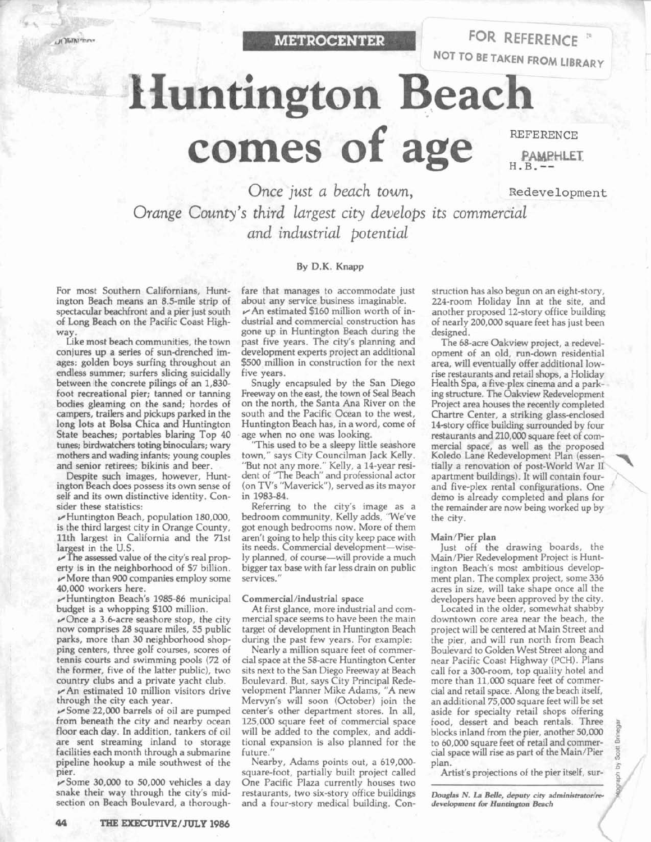ULTNT-

**METROCENTER** 

FOR REFERENCE<sup>11</sup> **NOT TO BE TAKEN FROM LIBRARY** 

**Huntington Beach** 

comes of age *REFERENCE* 

**REFERENCE** 

*Once just a beach town,* **Redevelopment** 

*Orange County's third largest city develops its commercial and industrial potential* 

# By D.K. Knapp

For most Southern Californians, Huntington Beach means an 8.5-mile strip of spectacular beachfront and a pier just south of Long Beach on the Pacific Coast Highway.

Like most beach communities, the town conjures up a series of sun-drenched images: golden boys surfing throughout an endless summer; surfers slicing suicidally between the concrete pilings of an 1,830 foot recreational pier; tanned or tanning bodies gleaming on the sand; hordes of campers, trailers and pickups parked in the long lots at Bolsa Chica and Huntington State beaches; portables blaring Top 40 tunes; birdwatchers toting binoculars; wary mothers and wading infants; young couples and senior retirees; bikinis and beer.

Despite such images, however, Huntington Beach does possess its own sense of self and its own distinctive identity. Consider these statistics:

/Huntington Beach, population 180,000, is the third largest city in Orange County, 11th largest in California and the 71st largest in the U.S.

 $\mathcal{\mathcal{F}}$ The assessed value of the city's real property is in the neighborhood of \$7 billion.  $\blacktriangleright$  More than 900 companies employ some 40,000 workers here.

/Huntington Beach's 1985-86 municipal budget is a whopping \$100 million.

 $\sim$ Once a 3.6-acre seashore stop, the city now comprises 28 square miles, 55 public parks, more than 30 neighborhood shopping centers, three golf courses, scores of tennis courts and swimming pools (72 of the former, five of the latter public), two country clubs and a private yacht club.  $\blacktriangleright$  An estimated 10 million visitors drive through the city each year.

 $\blacktriangleright$  Some 22,000 barrels of oil are pumped from beneath the city and nearby ocean floor each day. In addition, tankers of oil are sent streaming inland to storage facilities each month through a submarine pipeline hookup a mile southwest of the pier.

 $\blacktriangleright$  Some 30,000 to 50,000 vehicles a day snake their way through the city's midsection on Beach Boulevard, a thoroughfare that manages to accommodate just about any service business imaginable.  $\mathcal A$ n estimated \$160 million worth of industrial and commercial construction has gone up in Huntington Beach during the

past five years. The city's planning and development experts project an additional \$500 million in construction for the next five years.

Snugly encapsuled by the San Diego Freeway on the east, the town of Seal Beach on the north, the Santa Ana River on the south and the Pacific Ocean to the west, Huntington Beach has, in a word, come of age when no one was looking.

This used to be a sleepy little seashore town," says City Councilman Jack Kelly. "But not any more." Kelly, a 14-year resident of 'The Beach" and professional actor (on TV's "Maverick"), served as its mayor in 1983-84.

Referring to the city's image as a bedroom community, Kelly adds, "We've got enough bedrooms now. More of them aren't going to help this city keep pace with its needs. Commercial development-wisely planned, of course-will provide a much bigger tax base with far less drain on public services."

## Commercial/industrial space

At first glance, more industrial and com- mercial space seems to have been the main target of development in Huntington Beach during the past few years. For example:

Nearly a million square feet of commercial space at the 58-acre Huntington Center sits next to the San Diego Freeway at Beach Boulevard. But, says City Principal Redevelopment Planner Mike Adams, "A new Mervyn's will soon (October) join the center's other department stores. In all, 125,000 square feet of commercial space will be added to the complex, and additional expansion is also planned for the future."

Nearby, Adams points out, a 619,000 square-foot, partially built project called One Pacific Plaza currently houses two restaurants, two six-story office buildings and a four-story medical building. Construction has also begun on an eight-story, 224-room Holiday Inn at the site, and another proposed 12-story office building of nearly 200,000 square feet has just been designed.

The 68-acre Oakview project, a redevelopment of an old, run-down residential area, will eventually offer additional lowrise restaurants and retail shops, a Holiday Health Spa, a five-plex cinema and a parking structure. The Oakview Redevelopment Project area houses the recently completed Chartre Center, a striking glass-enclosed 14story office building surrounded by four restaurants and 210,000 square feet of commercial space, as well as the proposed Koledo Lane Redevelopment Plan (essen-<br>tially a renovation of post-World War II Project area houses the recently completed<br>Chartre Center, a striking glass-enclosed<br>14-story office building surrounded by four<br>restaurants and 210,000 square feet of com-<br>mercial space, as well as the proposed<br>Koledo Lan apartment buildings). It will contain fourand five-plex rental configurations. One demo is already completed and plans for the remainder are now being worked up by the city.

## Main/Pier plan

Just off the drawing boards, the Main/ Pier Redevelopment Project is Huntington Beach's most ambitious development plan. The complex project, some 336 acres in size, will take shape once all the developers have been approved by the city.

Located in the older, somewhat shabby downtown core area near the beach, the project will be centered at Main Street and the pier, and will run north from Beach Boulevard to Golden West Street along and near Pacific Coast Highway (PCH). Plans call for a 300-room, top quality hotel and more than 11,000 square feet of commercial and retail space. Along the beach itself, an additional 75,000 square feet will be set aside for specialty retail shops offering food, dessert and beach rentals. Three blocks inland from the pier, another 50,000 to 6000 square feed of the Main/Pier plan.  $\overline{P}$ 

Artist's projections of the pier itself, sur-

*Douglas N. La Belle, deputy city administrator/redevelopment* **for** *Huntington Beach*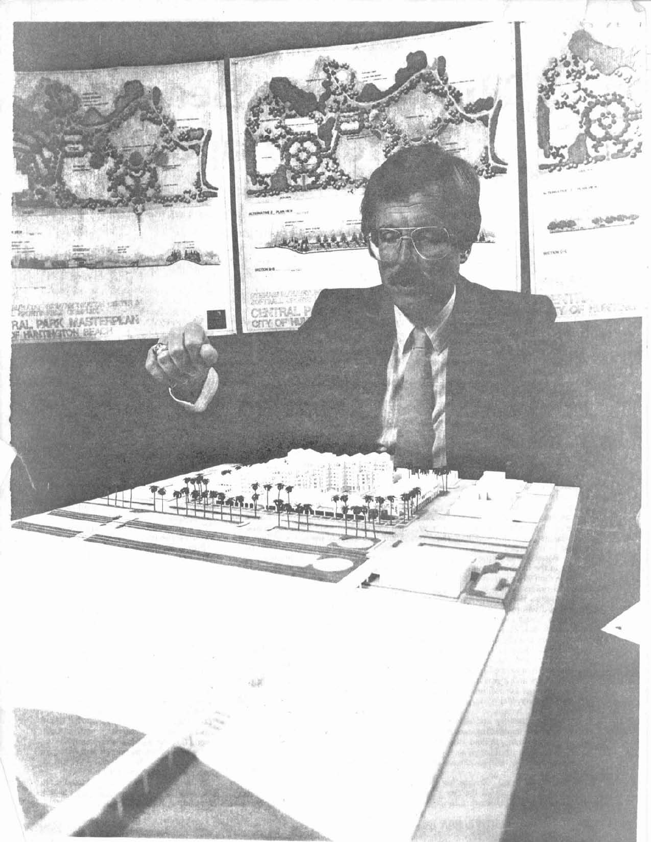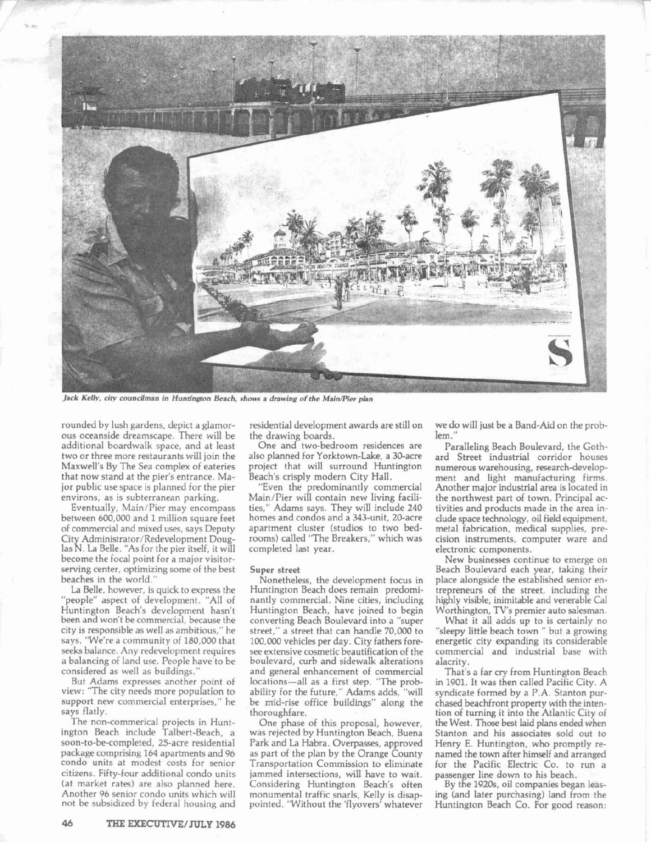

*~.,c.h* A',.'!;. *;.rrl* **c.a,lrsr'-ii-i** . **I,, ir,r.,rrni~i,ri i:<.ach. \*hc,rr\ a c'sawinx of thr MainJPicr plan** 

rounded by lush gardens, depict a glamorous oceanside dreamscape. There will be additional boardwalk space, and at least two or three more restaurants will join the Maxwell's By The Sea complex of eateries that now stand at the pier's entrance. Major public use space is planned for the pier environs, as is subterranean parking.

Eventually, Main/Pier may encompass between 600,000 and 1 million square feet of commercial and mixed uses, says Deputy Cit **Administrator/Redevelopment** Douglas N. La Belle. "As for the pier itself, it will become the focal point for a major visitorserving center, optimizing some of the best beaches in the world."

La Belle, however, is quick to express the "people" aspect of development. "All of Huntington Beach's development hasn't been and won't be commercial, because the city is responsible as well as ambitious," he says. "We're a community of 180,000 that seeks balance. Any redevelopment requires a balancing of land use. People have to be considered as well as buildings."

But Adams expresses another point of view: "The city needs more population to support new commercial enterprises," he says flatly.

The non-commerical projects in Huntington Beach include Talbert-Beach, a soon-to-be-completed, 25-acre residential package comprising 164 apartments and 96 condo units at modest costs for senior citizens. Fifty-four additional condo units (at market rates) are also planned here. Another 96 senior condo units which will not be subsidized by federal housing and residential development awards are still on the drawing boards.

One and two-bedroom residences are also planned for Yorktown-Lake, a 30-acre project that will surround Huntington Beach's crisply modern City Hall.

"Even the predominantly commercial Main/Pier will contain new living facilities," Adams says. They will include 240 homes and condos and a 343-unit, 20-acre apartment cluster (studios to two bedrooms) called "The Breakers," which was completed last year.

#### Super street

Nonetheless, the development focus in Huntington Beach does remain predominantly commercial. Nine cities, including Huntington Beach, have joined to begin converting Beach Boulevard into a "super street," a street that can handle 70,000 to 100,000 vehicles per day. City fathers foresee extensive cosmetic beautification of the boulevard, curb and sidewalk alterations and general enhancement of commercial locations-all as a first step. "The probability for the future," Adams adds, "will be mid-rise office buildings" along the thoroughfare.

One phase of this proposal, however, was rejected by Huntington Beach, Buena Park and La Habra. Overpasses, approved as part of the plan by the Orange County Transportation Commission to eliminate jammed intersections, will have to wait. Considering Huntington Beach's often monumental traffic snarls, Kelly is disappointed. "Without the 'flyovers' whatever we do will just be a Band-Aid on the problem."

Paralleling Beach Boulevard, the Gothard Street industrial corridor houses numerous warehousing, research-development and light manufacturing firms. Another major industrial area is located in the northwest part of town. Principal activities and products made in the area include space technology, oil field equipment, metal fabrication, medical supplies, precision instruments, computer ware and electronic components.<br>New businesses continue to emerge on

Beach Boulevard each year, taking their place alongside the established senior entrepreneurs of the street, including the highly visible, inimitable and venerable Cal Worthington, TV's premier auto salesman.

What it all adds up to is certainly no "sleepy little beach town " but a growing energetic city expanding its considerable commercial and industrial base with alacrity.

That's a far cry from Huntington Beach in 1901. It was then called Pacific City. A syndicate formed by a P.A. Stanton purchased beachfront property with the intention of turning it into the Atlantic City of the West. Those best laid plans ended when Stanton and his associates sold out to Henry E. Huntington, who promptly renamed the town after himself and arranged for the Pacific Electric Co. to run a passenger line down to his beach.

By the 19205, oil companies began leasing (and later purchasing) land from the Huntington Beach Co. For good reason: